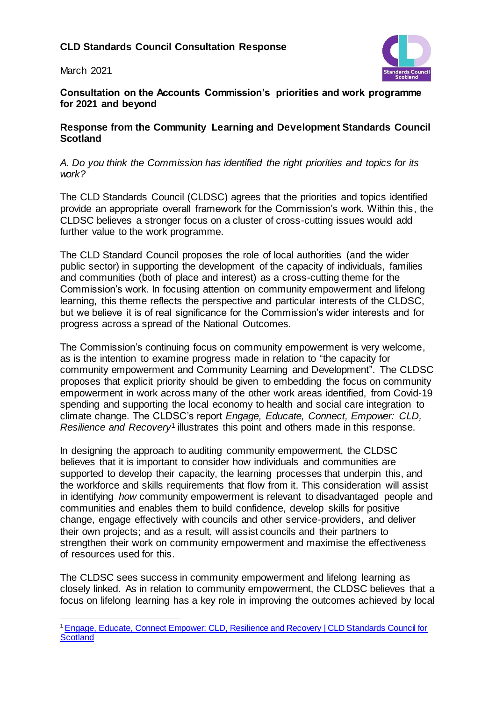## **CLD Standards Council Consultation Response**

March 2021



**Consultation on the Accounts Commission's priorities and work programme for 2021 and beyond**

## **Response from the Community Learning and Development Standards Council Scotland**

*A. Do you think the Commission has identified the right priorities and topics for its work?* 

The CLD Standards Council (CLDSC) agrees that the priorities and topics identified provide an appropriate overall framework for the Commission's work. Within this, the CLDSC believes a stronger focus on a cluster of cross-cutting issues would add further value to the work programme.

The CLD Standard Council proposes the role of local authorities (and the wider public sector) in supporting the development of the capacity of individuals, families and communities (both of place and interest) as a cross-cutting theme for the Commission's work. In focusing attention on community empowerment and lifelong learning, this theme reflects the perspective and particular interests of the CLDSC, but we believe it is of real significance for the Commission's wider interests and for progress across a spread of the National Outcomes.

The Commission's continuing focus on community empowerment is very welcome, as is the intention to examine progress made in relation to "the capacity for community empowerment and Community Learning and Development". The CLDSC proposes that explicit priority should be given to embedding the focus on community empowerment in work across many of the other work areas identified, from Covid-19 spending and supporting the local economy to health and social care integration to climate change. The CLDSC's report *Engage, Educate, Connect, Empower: CLD, Resilience and Recovery*<sup>1</sup> illustrates this point and others made in this response.

In designing the approach to auditing community empowerment, the CLDSC believes that it is important to consider how individuals and communities are supported to develop their capacity, the learning processes that underpin this, and the workforce and skills requirements that flow from it. This consideration will assist in identifying *how* community empowerment is relevant to disadvantaged people and communities and enables them to build confidence, develop skills for positive change, engage effectively with councils and other service-providers, and deliver their own projects; and as a result, will assist councils and their partners to strengthen their work on community empowerment and maximise the effectiveness of resources used for this.

The CLDSC sees success in community empowerment and lifelong learning as closely linked. As in relation to community empowerment, the CLDSC believes that a focus on lifelong learning has a key role in improving the outcomes achieved by local

j <sup>1</sup> Engage, Educate, Connect Empower: CLD, Resilience and Recovery | CLD Standards Council for **[Scotland](https://cldstandardscouncil.org.uk/the-standards-council/council-reports/resilience-and-recovery/)**